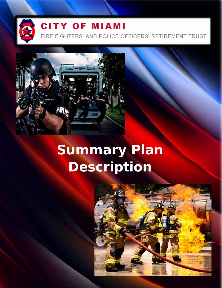

## **CITY OF MIAMI**

FIRE FIGHTERS' AND POLICE OFFICERS' RETIREMENT TRUST



# **Summary Plan Description**

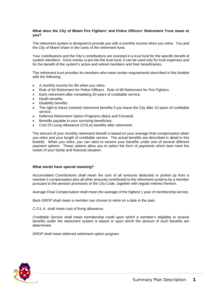#### **What does the City of Miami Fire Fighters' and Police Officers' Retirement Trust mean to you?**

The retirement system is designed to provide you with a monthly income when you retire. You and the City of Miami share in the costs of the retirement fund.

Your contributions and the City's contributions are invested in a trust fund for the specific benefit of system members. Once money is put into the trust fund, it can be used only for trust expenses and for the benefit of the system's active and retired members and their beneficiaries.

The retirement trust provides its members who meet certain requirements described in this booklet with the following;

- A monthly income for life when you retire.
- Rule of 64 Retirement for Police Officers. Rule of 68 Retirement for Fire Fighters.
- Early retirement after completing 20 years of creditable service.
- Death benefits.
- Disability benefits.
- The right to future (vested) retirement benefits if you leave the City after 10 years of creditable service.
- Deferred Retirement Option Programs (Back and Forward).
- Benefits payable to your surviving beneficiary.
- Cost Of Living Allowance (COLA) benefits after retirement.

The amount of your monthly retirement benefit is based on your average final compensation when you retire and your length of creditable service. The actual benefits are described in detail in this booklet. When you retire, you can elect to receive your benefits under one of several different payment options. These options allow you to select the form of payments which best meet the needs of your family and financial situation.

#### **What words have special meaning?**

*Accumulated Contributions* shall mean the sum of all amounts deducted or picked up from a member's compensation plus all other amounts contributed to the retirement systems by a member pursuant to the pension provisions of the City Code, together with regular interest thereon.

*Average Final Compensation* shall mean the average of the highest 1 year of membership service.

*Back DROP* shall mean a member can choose to retire on a date in the past.

*C.O.L.A.* shall mean cost of living allowance.

*Creditable Service* shall mean membership credit upon which a member's eligibility to receive benefits under the retirement system is based or upon which the amount of such benefits are determined.

*DROP* shall mean deferred retirement option program.

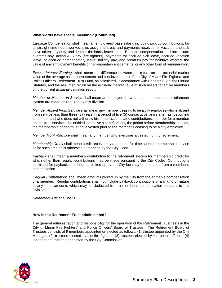#### **What words have special meaning? (Continued)**

*Earnable Compensation* shall mean an employees' base salary, including pick up contributions, for all straight time hours worked, plus assignment pay and payments received for vacation and sick leave taken, jury duty, and death in the family leave taken. Earnable compensation shall not include overtime pay; acting ALS pay (fire fighters), payments for accrued sick leave, accrued vacation leave, or accrued compensatory leave, holiday pay, and premium pay for holidays worked, the value of any employment benefits or non-monetary entitlements, or any other form of remuneration.

*Excess Interest Earnings* shall mean the difference between the return on the actuarial market value of the average assets (investment and non-investment) of the City of Miami Fire Fighters and Police Officers' Retirement Trust Fund, as calculated, in accordance with Chapter 112 of the Florida Statutes, and the assumed return on the actuarial market value of such assets for active members on the current actuarial valuation report.

*Member or Member-In-Service* shall mean an employee for whom contributions to the retirement system are made as required by this division.

*Member Absent From Service* shall mean any member ceasing to be a city employee who is absent from service less than three (3) years in a period of five (5) consecutive years after last becoming a member and who does not withdraw his or her accumulated contributions. In order for a member absent from service to be entitled to receive a benefit during the period before membership elapses, the membership period must have vested prior to the member's ceasing to be a city employee.

*Member Not-In-Service* shall mean any member who exercises a vested right to retirement.

*Membership Credit* shall mean credit received by a member for time spent in membership service or for such time as is otherwise authorized by the City Code.

*Payback* shall mean a member's contribution to the retirement system for membership credit for which other than regular contributions may be made pursuant to the City Code. Contributions permitted for paybacks shall not be picked up by the City but may be deducted from a member's compensation.

*Regular Contributions* shall mean amounts picked up by the City from the earnable compensation of a member. Regular contributions shall not include payback contributions of any kind or nature or any other amounts which may be deducted from a member's compensation pursuant to this division.

*Retirement Age* shall be 50.

#### **How is the Retirement Trust administered?**

The general administration and responsibility for the operation of the Retirement Trust rests in the City of Miami Fire Fighters' and Police Officers' Board of Trustees. The Retirement Board of Trustees consists of 9 members appointed or elected as follows; (1) trustee appointed by the City Manager, (2) trustees elected by the fire fighters, (2) trustees elected by the police officers, (4) independent trustees appointed by the City Commission.

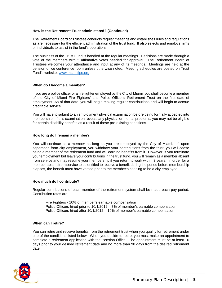#### **How is the Retirement Trust administered? (Continued)**

The Retirement Board of Trustees conducts regular meetings and establishes rules and regulations as are necessary for the efficient administration of the trust fund. It also selects and employs firms or individuals to assist in the fund's operations.

The business of the Trust Fund is handled at the regular meetings. Decisions are made through a vote of the members with 5 affirmative votes needed for approval. The Retirement Board of Trustees welcomes your attendance and input at any of its meetings. Meetings are held at the pension office conference room unless otherwise noted. Meeting schedules are posted on Trust Fund's website, [www.miamifipo.org](http://www.miamifipo.org/) .

#### **When do I become a member?**

If you are a police officer or a fire fighter employed by the City of Miami, you shall become a member of the City of Miami Fire Fighters' and Police Officers' Retirement Trust on the first date of employment. As of that date, you will begin making regular contributions and will begin to accrue creditable service.

You will have to submit to an employment physical examination before being formally accepted into membership. If this examination reveals any physical or mental problems, you may not be eligible for certain disability benefits as a result of these pre-existing conditions.

#### **How long do I remain a member?**

You will continue as a member as long as you are employed by the City of Miami. If, upon separation from city employment, you withdraw your contributions from the trust, you will cease being a member of the retirement fund and will earn no benefits from it. However, if you terminate your employment but leave your contributions in the trust fund, you will remain as a member absent from service and may resume your membership if you return to work within 3 years. In order for a member absent from service to be entitled to receive a benefit during the period before membership elapses, the benefit must have vested prior to the member's ceasing to be a city employee.

#### **How much do I contribute?**

Regular contributions of each member of the retirement system shall be made each pay period. Contribution rates are:

Fire Fighters - 10% of member's earnable compensation Police Officers hired prior to 10/1/2012 – 7% of member's earnable compensation Police Officers hired after 10/1/2012 – 10% of member's earnable compensation

#### **When can I retire?**

You can retire and receive benefits from the retirement trust when you qualify for retirement under one of the conditions listed below. When you decide to retire, you must make an appointment to complete a retirement application with the Pension Office. The appointment must be at least 10 days prior to your desired retirement date and no more than 90 days from the desired retirement date.

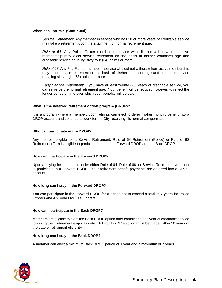#### **When can I retire? (Continued)**

*Service Retirement*: Any member in service who has 10 or more years of creditable service may take a retirement upon the attainment of normal retirement age.

*Rule of 64*: Any Police Officer member in service who did not withdraw from active membership may elect service retirement on the basis of his/her combined age and creditable service equaling sixty-four (64) points or more.

*Rule of 68*: Any Fire Fighter member in service who did not withdraw from active membership may elect service retirement on the basis of his/her combined age and creditable service equaling sixty-eight (68) points or more.

*Early Service Retirement*: If you have at least twenty (20) years of creditable service, you can retire before normal retirement age. Your benefit will be reduced however, to reflect the longer period of time over which your benefits will be paid.

#### **What is the deferred retirement option program (DROP)?**

It is a program where a member, upon retiring, can elect to defer his/her monthly benefit into a DROP account and continue to work for the City receiving his normal compensation.

#### **Who can participate in the DROP?**

Any member eligible for a Service Retirement, Rule of 64 Retirement (Police) or Rule of 68 Retirement (Fire) is eligible to participate in both the Forward DROP and the Back DROP.

#### **How can I participate in the Forward DROP?**

Upon applying for retirement under either Rule of 64, Rule of 68, or Service Retirement you elect to participate in a Forward DROP. Your retirement benefit payments are deferred into a DROP account.

#### **How long can I stay in the Forward DROP?**

You can participate in the Forward DROP for a period not to exceed a total of 7 years for Police Officers and 4 ½ years for Fire Fighters.

#### **How can I participate in the Back DROP?**

Members are eligible to elect the Back DROP option after completing one year of creditable service following their retirement eligibility date. A Back DROP election must be made within 10 years of the date of retirement eligibility.

#### **How long can I stay in the Back DROP?**

A member can elect a minimum Back DROP period of 1 year and a maximum of 7 years.

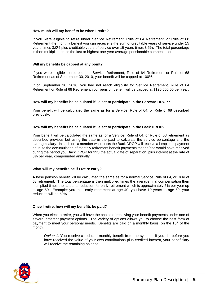#### **How much will my benefits be when I retire?**

If you were eligible to retire under Service Retirement, Rule of 64 Retirement, or Rule of 68 Retirement the monthly benefit you can receive is the sum of creditable years of service under 15 years times 3.0% plus creditable years of service over 15 years times 3.5%. The total percentage is then multiplied times the last or highest one-year average pensionable compensation.

#### **Will my benefits be capped at any point?**

If you were eligible to retire under Service Retirement, Rule of 64 Retirement or Rule of 68 Retirement as of September 30, 2010, your benefit will be capped at 100**%**.

If on September 30, 2010, you had not reach eligibility for Service Retirement, Rule of 64 Retirement or Rule of 68 Retirement your pension benefit will be capped at \$120,000.00 per year.

#### **How will my benefits be calculated if I elect to participate in the Forward DROP?**

Your benefit will be calculated the same as for a Service, Rule of 64, or Rule of 68 described previously.

#### **How will my benefits be calculated if I elect to participate in the Back DROP?**

Your benefit will be calculated the same as for a Service, Rule of 64, or Rule of 68 retirement as described previous but using the date in the past to calculate the service percentage and the average salary. In addition, a member who elects the Back DROP will receive a lump sum payment equal to the accumulation of monthly retirement benefit payments that he/she would have received during the period you Back DROP for thru the actual date of separation, plus interest at the rate of 3% per year, compounded annually.

#### **What will my benefits be if I retire early?**

A base pension benefit will be calculated the same as for a normal Service Rule of 64, or Rule of 68 retirement. The total percentage is then multiplied times the average final compensation then multiplied times the actuarial reduction for early retirement which is approximately 5% per year up to age 50. Example: you take early retirement at age 40, you have 10 years to age 50, your reduction will be 50%

#### **Once I retire, how will my benefits be paid?**

When you elect to retire, you will have the choice of receiving your benefit payments under one of several different payment options. The variety of options allows you to choose the best form of payment to meet your personal needs. Benefits are paid on a monthly basis, on the  $15<sup>th</sup>$  of the month.

*Option 1*: You receive a reduced monthly benefit from the system. If you die before you have received the value of your own contributions plus credited interest, your beneficiary will receive the remaining balance.

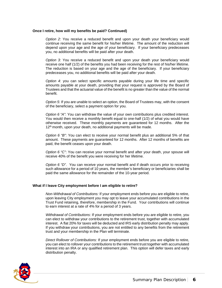#### **Once I retire, how will my benefits be paid? Continued)**

*Option 2*: You receive a reduced benefit and upon your death your beneficiary would continue receiving the same benefit for his/her lifetime. The amount of the reduction will depend upon your age and the age of your beneficiary. If your beneficiary predeceases you, no additional benefits will be paid after your death.

*Option 3*: You receive a reduced benefit and upon your death your beneficiary would receive one half (1/2) of the benefits you had been receiving for the rest of his/her lifetime. The reduction is based on your age and the age of the beneficiary. If your beneficiary predeceases you, no additional benefits will be paid after your death.

*Option 4*: you can select specific amounts payable during your life time and specific amounts payable at your death, providing that your request is approved by the Board of Trustees and that the actuarial value of the benefit is no greater than the value of the normal benefit.

*Option 5*: If you are unable to select an option, the Board of Trustees may, with the consent of the beneficiary, select a payment option for you.

*Option 6 "A"*: You can withdraw the value of your own contributions plus credited interest. You would then receive a monthly benefit equal to one-half (1/2) of what you would have otherwise received. These monthly payments are guaranteed for 12 months. After the 12<sup>th</sup> month, upon your death, no additional payments will be made.

*Option 6 "B"*: You can elect to receive your normal benefit plus an additional 5% of that amount. These payments are guaranteed for 12 months. After 12 months of benefits are paid, the benefit ceases upon your death.

*Option 6 "C"*: You can receive your normal benefit and after your death, your spouse will receive 40% of the benefit you were receiving for her lifetime.

*Option 6 "D"*. You can receive your normal benefit and if death occurs prior to receiving such allowance for a period of 10 years, the member's beneficiary or beneficiaries shall be paid the same allowance for the remainder of the 10-year period.

#### **What if I leave City employment before I am eligible to retire?**

*Non-Withdrawal of Contributions:* If your employment ends before you are eligible to retire, upon leaving City employment you may opt to leave your accumulated contributions in the Trust Fund retaining, therefore, membership in the Fund. Your contributions will continue to earn interest at a rate of 4% for a period of 3 years.

*Withdrawal of Contributions*: If your employment ends before you are eligible to retire, you can elect to withdraw your contributions to the retirement trust, together with accumulated interest. A flat 20% for taxes will be deducted and IRS early distribution penalty may apply. If you withdraw your contributions, you are not entitled to any benefits from the retirement trust and your membership in the Plan will terminate.

*Direct Rollover of Contributions:* If your employment ends before you are eligible to retire, you can elect to rollover your contributions to the retirement trust together with accumulated interest into an IRA or any qualified retirement plan. This option will defer taxes and early distribution penalty.

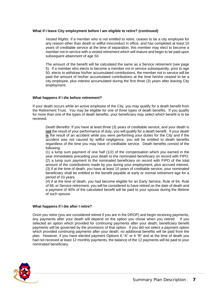#### **What if I leave City employment before I am eligible to retire? (continued)**

*Vested Rights*: If a member who is not entitled to retire, ceases to be a city employee for any reason other than death or willful misconduct in office, and has completed at least 10 years of creditable service at the time of separation, this member may elect to become a member not in service with a vested retirement which will mature and begin to be paid upon subsequent attainment of age 50.

The amount of the benefit will be calculated the same as a Service retirement (see page 5). If a member who elects to become a member not in service subsequently, prior to age 50, elects to withdraw his/her accumulated contributions, the member not in service will be paid the amount of his/her accumulated contributions at the time he/she ceased to be a city employee, plus interest accumulated during the first three (3) years after leaving City employment.

#### **What happens if I die before retirement?**

If your death occurs while an active employee of the City, you may qualify for a death benefit from the Retirement Trust. You may be eligible for one of three types of death benefits. If you qualify for more than one of the types of death benefits, your beneficiary may select which benefit is to be received.

*Death Benefits*: If you have at least three (3) years of creditable service, and your death is **not** the result of your performance of duty, you will qualify for a death benefit. If your death **is** the result of an accident while you were performing your duties for the City and if the accident was not caused by willful negligence, you will be entitled to death benefits regardless of the time you may have of creditable service. Death benefits consist of the following:

(1) a lump sum payment of one half (1/2) of the compensation which you earned in the year immediately preceding your death to the nominated beneficiary on record with FIPO. (2) a lump sum payment to the nominated beneficiary on record with FIPO of the total amount of the contributions made by you during your employment, plus accrued interest. (3) if at the time of death, you have at least 10 years of creditable service, your nominated beneficiary shall be entitled to the benefit payable at early or normal retirement age for a period of 10 years.

(4) if at the time of death, you had become eligible for an Early Service, Rule of 64, Rule of 68, or Service retirement, you will be considered to have retired on the date of death and a payment of 40% of the calculated benefit will be paid to your spouse during the lifetime of such spouse.

#### **What happens if I die after I retire?**

Once you retire (you are considered retired if you are in the DROP) and begin receiving payments, any payments after your death will depend on the option you chose when you retired. If you selected an option which provided for continuing payments after your death, beneficiary benefit payments will be governed by the provisions of that option. If you did not select a payment option which provided continuing payments after your death, no additional benefits will be paid from the plan. However, if you have elected payment Options 6 "A" or 6 "B" and at the time of death you had not received at least 12 monthly payments, the balance of the 12 payments will be paid to your nominated beneficiary.

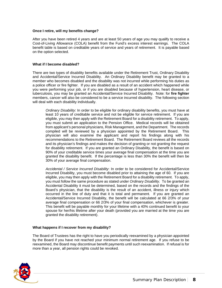#### **Once I retire, will my benefits change?**

After you have been retired 4 years and are at least 50 years of age you may qualify to receive a Cost-of-Living Allowance (COLA) benefit from the Fund's excess interest earnings. The COLA benefit table is based on creditable years of service and years of retirement. It is payable based on the option selected.

#### **What if I become disabled?**

There are two types of disability benefits available under the Retirement Trust, Ordinary Disability and Accidental/Service Incurred Disability. An Ordinary Disability benefit may be granted to a member who becomes disabled and the disability was not incurred while performing his duties as a police officer or fire fighter. If you are disabled as a result of an accident which happened while you were performing your job, or if you are disabled because of hypertension, heart disease, or tuberculosis, you may be granted an Accidental/Service Incurred Disability. Note: for **fire fighter** members, cancer will also be considered to be a service incurred disability. The following section will deal with each disability individually.

*Ordinary Disability*: In order to be eligible for ordinary disability benefits, you must have at least 10 years of creditable service and not be eligible for service retirement. If you are eligible, you may then apply with the Retirement Board for a disability retirement. To apply, you must submit an application to the Pension Office. Medical records will be obtained from applicant's personal physicians, Risk Management, and the Department. The records compiled will be reviewed by a physician appointed by the Retirement Board. This physician will also examine the applicant and report his findings along with his recommendations to the Retirement Board. The Retirement Board reviews all the records and its physician's findings and makes the decision of granting or not granting the request for disability retirement. If you are granted an Ordinary Disability, the benefit is based on 90% of your creditable service times your average final compensation at the time you are granted the disability benefit. If the percentage is less than 30% the benefit will then be 30% of your average final compensation.

*Accidental / Service Incurred Disability*: In order to be considered for Accidental/Service Incurred Disability, you must become disabled prior to attaining the age of 60. If you are eligible, you may then apply with the Retirement Board for a disability retirement. To apply, you must follow the same procedure as stated under *Ordinary Disability.* To be granted an Accidental Disability it must be determined, based on the records and the findings of the Board's physician, that the disability is the result of an accident, illness or injury which occurred in the line of duty and that it is total and permanent*.* If you are granted an Accidental/Service Incurred Disability, the benefit will be calculated at 66 2/3% of your average final compensation or 66 2/3% of your final compensation, whichever is greater. This benefit will be payable monthly for your lifetime with a 40% continued benefit to your spouse for her/his lifetime after your death (provided you are married at the time you are granted the disability retirement).

#### **What happens if I recover from my disability?**

The Board of Trustees has the right to have you periodically reexamined by a physician appointed by the Board if you have not reached your minimum normal retirement age. If you refuse to be reexamined, the Board may discontinue benefit payments until such reexamination. If refusal is for more than a year, all pension rights could be revoked.

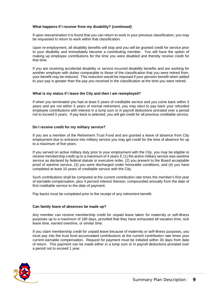#### **What happens if I recover from my disability? (continued)**

If upon reexamination it is found that you can return to work in your previous classification, you may be requested to return to work within that classification.

Upon re-employment, all disability benefits will stop and you will be granted credit for service prior to your disability and immediately become a contributing member. You will have the option of making up employee contributions for the time you were disabled and thereby receive credit for that time.

If you are receiving accidental disability or service incurred disability benefits and are working for another employer with duties comparable to those of the classification that you were retired from, your benefit may be reduced. This reduction would be imposed if your pension benefit when added to your pay is greater than the pay you received in the classification at the time you were retired.

#### **What is my status if I leave the City and then I am reemployed?**

If when you terminated you had at least 5 years of creditable service and you come back within 3 years and are not within 5 years of normal retirement, you may elect to pay back your refunded employee contributions with interest in a lump sum or in payroll deductions prorated over a period not to exceed 5 years. If pay back is selected, you will get credit for all previous creditable service.

#### **Do I receive credit for my military service?**

If you are a member of the Retirement Trust Fund and are granted a leave of absence from City employment due to entrance into military service you may get credit for the time of absence for up to a maximum of five years.

If you served on active military duty prior to your employment with the City, you may be eligible to receive membership credit up to a maximum of 4 years if, (1) the active military service was wartime service as declared by federal statute or executive order, (2) you present to the Board acceptable proof of wartime service, (3) you were discharged under honorable conditions, and (4) you have completed at least 10 years of creditable service with the City.

Such contributions shall be computed at the current contribution rate times the member's first year of earnable compensation, plus 4 percent interest thereon, compounded annually from the date of first creditable service to the date of payment.

Pay backs must be completed prior to the receipt of any retirement benefit.

#### **Can family leave of absences be made up?**

Any member can receive membership credit for unpaid leave taken for maternity or self-illness purposes up to a maximum of 180 days, provided that they have exhausted all vacation time, sick leave time, earned overtime, or similar time.

If you claim membership credit for unpaid leave because of maternity or self-illness purposes, you must pay into the trust fund accumulated contributions at the current contribution rate times your current earnable compensation. Request for payment must be initiated within 30 days from date of return. This payment can be made either in a lump sum or in payroll deductions prorated over a period not to exceed 1 year.

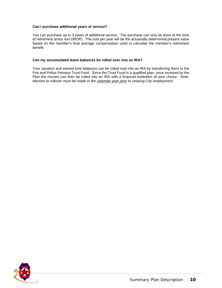#### **Can I purchase additional years of service?**

You can purchase up to 3 years of additional service. The purchase can only be done at the time of retirement (entry into DROP). The cost per year will be the actuarially determined present value based on the member's final average compensation used to calculate the member's retirement benefit.

#### **Can my accumulated leave balances be rolled over into an IRA?**

Your vacation and earned time balances can be rolled over into an IRA by transferring them to the Fire and Police Pension Trust Fund. Since the Trust Fund is a qualified plan, once received by the Plan the monies can then be rolled into an IRA with a financial institution of your choice. *Note: election to rollover must be made in the calendar year prior to ceasing City employment.*